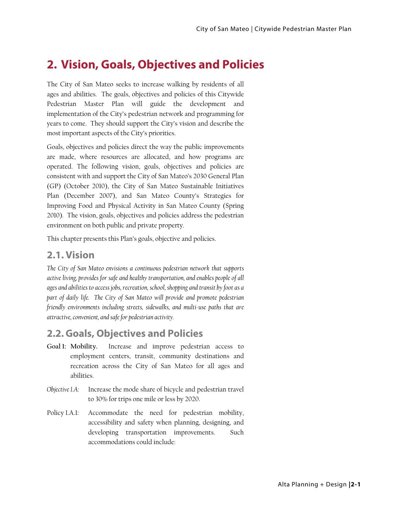## **2. Vision, Goals, Objectives and Policies**

The City of San Mateo seeks to increase walking by residents of all ages and abilities. The goals, objectives and policies of this Citywide Pedestrian Master Plan will guide the development and implementation of the City's pedestrian network and programming for years to come. They should support the City's vision and describe the most important aspects of the City's priorities.

Goals, objectives and policies direct the way the public improvements are made, where resources are allocated, and how programs are operated. The following vision, goals, objectives and policies are consistent with and support the City of San Mateo's 2030 General Plan (GP) (October 2010), the City of San Mateo Sustainable Initiatives Plan (December 2007), and San Mateo County's Strategies for Improving Food and Physical Activity in San Mateo County (Spring 2010). The vision, goals, objectives and policies address the pedestrian environment on both public and private property.

This chapter presents this Plan's goals, objective and policies.

## **2.1. Vision**

*The City of San Mateo envisions a continuous pedestrian network that supports active living, provides for safe and healthy transportation, and enables people of all ages and abilities to access jobs, recreation, school, shopping and transit by foot as a part of daily life. The City of San Mateo will provide and promote pedestrian friendly environments including streets, sidewalks, and multi-use paths that are attractive, convenient, and safe for pedestrian activity.* 

## **2.2.Goals, Objectives and Policies**

- **Goal 1: Mobility.** Increase and improve pedestrian access to employment centers, transit, community destinations and recreation across the City of San Mateo for all ages and abilities.
- *Objective 1.A:* Increase the mode share of bicycle and pedestrian travel to 30% for trips one mile or less by 2020.
- Policy 1.A.1: Accommodate the need for pedestrian mobility, accessibility and safety when planning, designing, and developing transportation improvements. Such accommodations could include: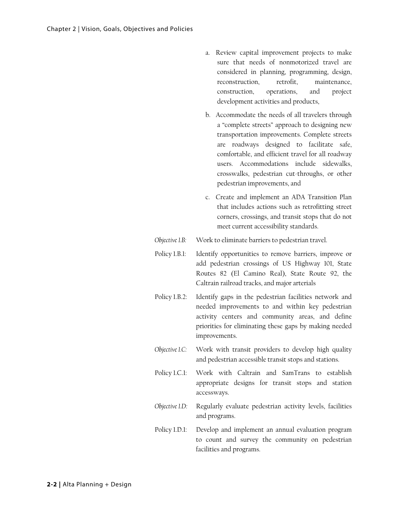- a. Review capital improvement projects to make sure that needs of nonmotorized travel are considered in planning, programming, design, reconstruction, retrofit, maintenance, construction, operations, and project development activities and products,
- b. Accommodate the needs of all travelers through a "complete streets" approach to designing new transportation improvements. Complete streets are roadways designed to facilitate safe, comfortable, and efficient travel for all roadway users. Accommodations include sidewalks, crosswalks, pedestrian cut-throughs, or other pedestrian improvements, and
- c. Create and implement an ADA Transition Plan that includes actions such as retrofitting street corners, crossings, and transit stops that do not meet current accessibility standards.
- *Objective 1.B:* Work to eliminate barriers to pedestrian travel.
- Policy 1.B.1: Identify opportunities to remove barriers, improve or add pedestrian crossings of US Highway 101, State Routes 82 (El Camino Real), State Route 92, the Caltrain railroad tracks, and major arterials
- Policy 1.B.2: Identify gaps in the pedestrian facilities network and needed improvements to and within key pedestrian activity centers and community areas, and define priorities for eliminating these gaps by making needed improvements.
- *Objective 1.C:* Work with transit providers to develop high quality and pedestrian accessible transit stops and stations.
- Policy 1.C.1: Work with Caltrain and SamTrans to establish appropriate designs for transit stops and station accessways.
- *Objective 1.D:* Regularly evaluate pedestrian activity levels, facilities and programs.
- Policy 1.D.1: Develop and implement an annual evaluation program to count and survey the community on pedestrian facilities and programs.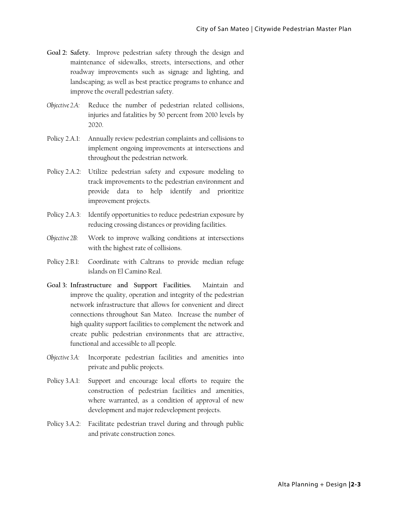- **Goal 2: Safety.** Improve pedestrian safety through the design and maintenance of sidewalks, streets, intersections, and other roadway improvements such as signage and lighting, and landscaping; as well as best practice programs to enhance and improve the overall pedestrian safety.
- *Objective 2.A:* Reduce the number of pedestrian related collisions, injuries and fatalities by 50 percent from 2010 levels by 2020.
- Policy 2.A.1: Annually review pedestrian complaints and collisions to implement ongoing improvements at intersections and throughout the pedestrian network.
- Policy 2.A.2: Utilize pedestrian safety and exposure modeling to track improvements to the pedestrian environment and provide data to help identify and prioritize improvement projects.
- Policy 2.A.3: Identify opportunities to reduce pedestrian exposure by reducing crossing distances or providing facilities.
- *Objective 2B:* Work to improve walking conditions at intersections with the highest rate of collisions.
- Policy 2.B.1: Coordinate with Caltrans to provide median refuge islands on El Camino Real.
- **Goal 3: Infrastructure and Support Facilities.** Maintain and improve the quality, operation and integrity of the pedestrian network infrastructure that allows for convenient and direct connections throughout San Mateo. Increase the number of high quality support facilities to complement the network and create public pedestrian environments that are attractive, functional and accessible to all people.
- *Objective 3.A:* Incorporate pedestrian facilities and amenities into private and public projects.
- Policy 3.A.1: Support and encourage local efforts to require the construction of pedestrian facilities and amenities, where warranted, as a condition of approval of new development and major redevelopment projects.
- Policy 3.A.2: Facilitate pedestrian travel during and through public and private construction zones.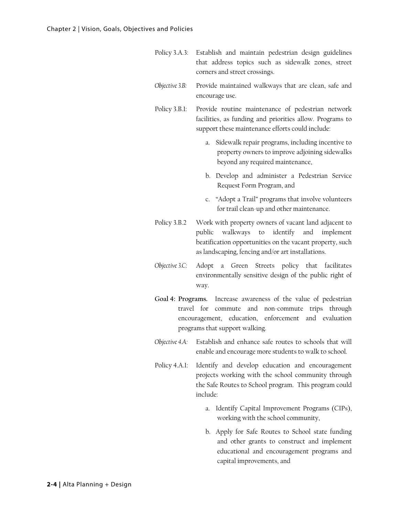- Policy 3.A.3: Establish and maintain pedestrian design guidelines that address topics such as sidewalk zones, street corners and street crossings.
- *Objective 3.B:* Provide maintained walkways that are clean, safe and encourage use.
- Policy 3.B.1: Provide routine maintenance of pedestrian network facilities, as funding and priorities allow. Programs to support these maintenance efforts could include:
	- a. Sidewalk repair programs, including incentive to property owners to improve adjoining sidewalks beyond any required maintenance,
	- b. Develop and administer a Pedestrian Service Request Form Program, and
	- c. "Adopt a Trail" programs that involve volunteers for trail clean-up and other maintenance.
- Policy 3.B.2 Work with property owners of vacant land adjacent to public walkways to identify and implement beatification opportunities on the vacant property, such as landscaping, fencing and/or art installations.
- *Objective 3.C:* Adopt a Green Streets policy that facilitates environmentally sensitive design of the public right of way.
- **Goal 4: Programs.** Increase awareness of the value of pedestrian travel for commute and non-commute trips through encouragement, education, enforcement and evaluation programs that support walking.
- *Objective 4.A:* Establish and enhance safe routes to schools that will enable and encourage more students to walk to school.
- Policy 4.A.1: Identify and develop education and encouragement projects working with the school community through the Safe Routes to School program. This program could include:
	- a. Identify Capital Improvement Programs (CIPs), working with the school community,
	- b. Apply for Safe Routes to School state funding and other grants to construct and implement educational and encouragement programs and capital improvements, and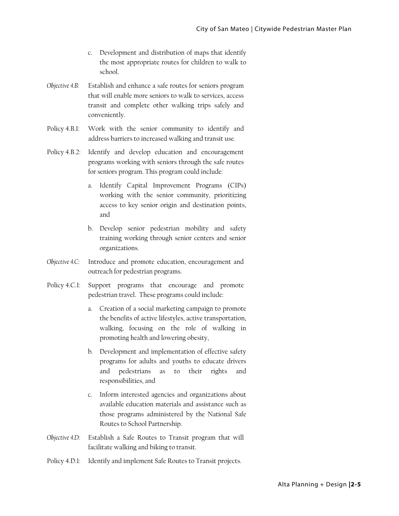- c. Development and distribution of maps that identify the most appropriate routes for children to walk to school.
- *Objective 4.B:* Establish and enhance a safe routes for seniors program that will enable more seniors to walk to services, access transit and complete other walking trips safely and conveniently.
- Policy 4.B.1: Work with the senior community to identify and address barriers to increased walking and transit use.
- Policy 4.B.2: Identify and develop education and encouragement programs working with seniors through the safe routes for seniors program. This program could include:
	- a. Identify Capital Improvement Programs (CIPs) working with the senior community, prioritizing access to key senior origin and destination points, and
	- b. Develop senior pedestrian mobility and safety training working through senior centers and senior organizations.
- *Objective 4.C:* Introduce and promote education, encouragement and outreach for pedestrian programs.
- Policy 4.C.1: Support programs that encourage and promote pedestrian travel. These programs could include:
	- a. Creation of a social marketing campaign to promote the benefits of active lifestyles, active transportation, walking, focusing on the role of walking in promoting health and lowering obesity,
	- b. Development and implementation of effective safety programs for adults and youths to educate drivers and pedestrians as to their rights and responsibilities, and
	- c. Inform interested agencies and organizations about available education materials and assistance such as those programs administered by the National Safe Routes to School Partnership.
- *Objective 4.D:* Establish a Safe Routes to Transit program that will facilitate walking and biking to transit.
- Policy 4.D.1: Identify and implement Safe Routes to Transit projects.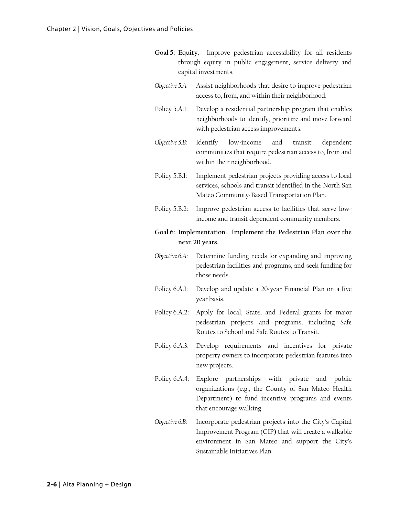- **Goal 5: Equity.** Improve pedestrian accessibility for all residents through equity in public engagement, service delivery and capital investments.
- *Objective 5.A:* Assist neighborhoods that desire to improve pedestrian access to, from, and within their neighborhood.
- Policy 5.A.1: Develop a residential partnership program that enables neighborhoods to identify, prioritize and move forward with pedestrian access improvements.
- *Objective 5.B:* Identify low-income and transit dependent communities that require pedestrian access to, from and within their neighborhood.
- Policy 5.B.1: Implement pedestrian projects providing access to local services, schools and transit identified in the North San Mateo Community-Based Transportation Plan.
- Policy 5.B.2: Improve pedestrian access to facilities that serve lowincome and transit dependent community members.
- **Goal 6: Implementation. Implement the Pedestrian Plan over the next 20 years.**
- *Objective 6.A:* Determine funding needs for expanding and improving pedestrian facilities and programs, and seek funding for those needs.
- Policy 6.A.1: Develop and update a 20-year Financial Plan on a five year basis.
- Policy 6.A.2: Apply for local, State, and Federal grants for major pedestrian projects and programs, including Safe Routes to School and Safe Routes to Transit.
- Policy 6.A.3: Develop requirements and incentives for private property owners to incorporate pedestrian features into new projects.
- Policy 6.A.4: Explore partnerships with private and public organizations (e.g., the County of San Mateo Health Department) to fund incentive programs and events that encourage walking.
- *Objective 6.B:* Incorporate pedestrian projects into the City's Capital Improvement Program (CIP) that will create a walkable environment in San Mateo and support the City's Sustainable Initiatives Plan.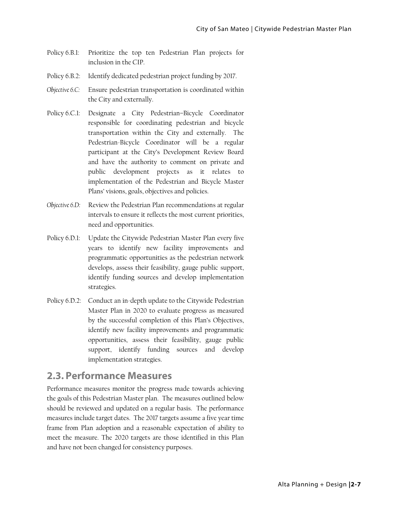- Policy 6.B.1: Prioritize the top ten Pedestrian Plan projects for inclusion in the CIP.
- Policy 6.B.2: Identify dedicated pedestrian project funding by 2017.
- *Objective 6.C:* Ensure pedestrian transportation is coordinated within the City and externally.
- Policy 6.C.1: Designate a City Pedestrian–Bicycle Coordinator responsible for coordinating pedestrian and bicycle transportation within the City and externally. The Pedestrian-Bicycle Coordinator will be a regular participant at the City's Development Review Board and have the authority to comment on private and public development projects as it relates to implementation of the Pedestrian and Bicycle Master Plans' visions, goals, objectives and policies.
- *Objective 6.D:* Review the Pedestrian Plan recommendations at regular intervals to ensure it reflects the most current priorities, need and opportunities.
- Policy 6.D.1: Update the Citywide Pedestrian Master Plan every five years to identify new facility improvements and programmatic opportunities as the pedestrian network develops, assess their feasibility, gauge public support, identify funding sources and develop implementation strategies.
- Policy 6.D.2: Conduct an in-depth update to the Citywide Pedestrian Master Plan in 2020 to evaluate progress as measured by the successful completion of this Plan's Objectives, identify new facility improvements and programmatic opportunities, assess their feasibility, gauge public support, identify funding sources and develop implementation strategies.

## **2.3. Performance Measures**

Performance measures monitor the progress made towards achieving the goals of this Pedestrian Master plan. The measures outlined below should be reviewed and updated on a regular basis. The performance measures include target dates. The 2017 targets assume a five year time frame from Plan adoption and a reasonable expectation of ability to meet the measure. The 2020 targets are those identified in this Plan and have not been changed for consistency purposes.